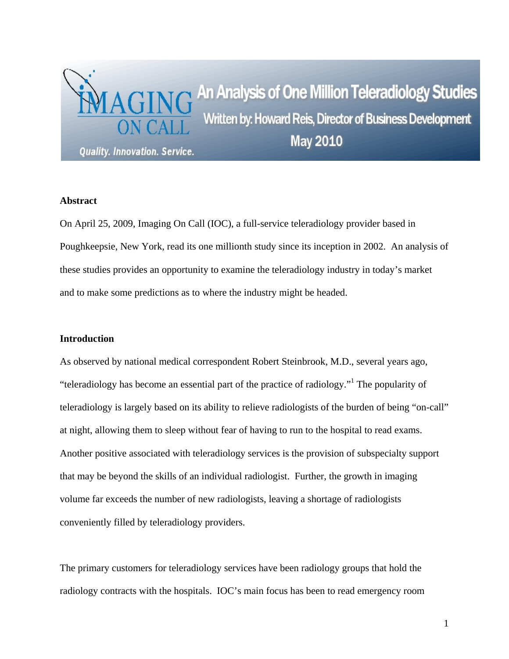

#### **Abstract**

On April 25, 2009, Imaging On Call (IOC), a full-service teleradiology provider based in Poughkeepsie, New York, read its one millionth study since its inception in 2002. An analysis of these studies provides an opportunity to examine the teleradiology industry in today's market and to make some predictions as to where the industry might be headed.

## **Introduction**

As observed by national medical correspondent Robert Steinbrook, M.D., several years ago, "teleradiology has become an essential part of the practice of radiology."<sup>1</sup> The popularity of teleradiology is largely based on its ability to relieve radiologists of the burden of being "on-call" at night, allowing them to sleep without fear of having to run to the hospital to read exams. Another positive associated with teleradiology services is the provision of subspecialty support that may be beyond the skills of an individual radiologist. Further, the growth in imaging volume far exceeds the number of new radiologists, leaving a shortage of radiologists conveniently filled by teleradiology providers.

The primary customers for teleradiology services have been radiology groups that hold the radiology contracts with the hospitals. IOC's main focus has been to read emergency room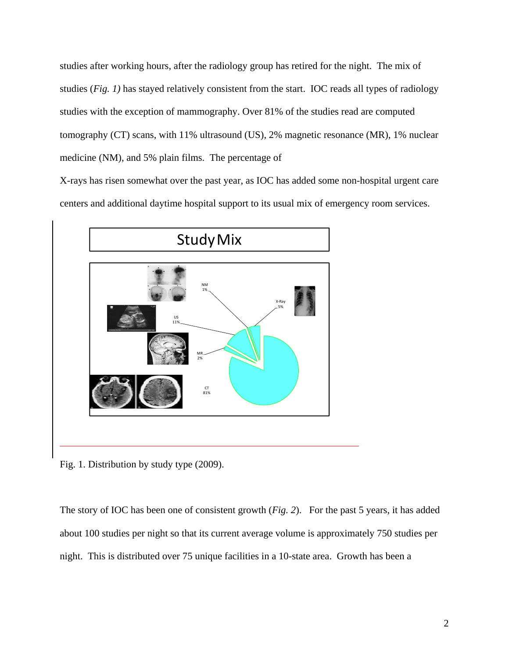studies after working hours, after the radiology group has retired for the night. The mix of studies (*Fig. 1)* has stayed relatively consistent from the start. IOC reads all types of radiology studies with the exception of mammography. Over 81% of the studies read are computed tomography (CT) scans, with 11% ultrasound (US), 2% magnetic resonance (MR), 1% nuclear medicine (NM), and 5% plain films. The percentage of

X-rays has risen somewhat over the past year, as IOC has added some non-hospital urgent care centers and additional daytime hospital support to its usual mix of emergency room services.



Fig. 1. Distribution by study type (2009).

The story of IOC has been one of consistent growth (*Fig. 2*). For the past 5 years, it has added about 100 studies per night so that its current average volume is approximately 750 studies per night. This is distributed over 75 unique facilities in a 10-state area. Growth has been a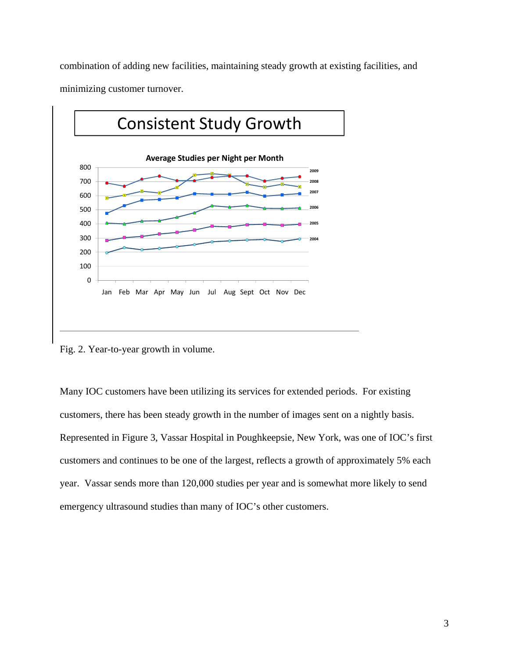combination of adding new facilities, maintaining steady growth at existing facilities, and minimizing customer turnover.



Fig. 2. Year-to-year growth in volume.

Many IOC customers have been utilizing its services for extended periods. For existing customers, there has been steady growth in the number of images sent on a nightly basis. Represented in Figure 3, Vassar Hospital in Poughkeepsie, New York, was one of IOC's first customers and continues to be one of the largest, reflects a growth of approximately 5% each year. Vassar sends more than 120,000 studies per year and is somewhat more likely to send emergency ultrasound studies than many of IOC's other customers.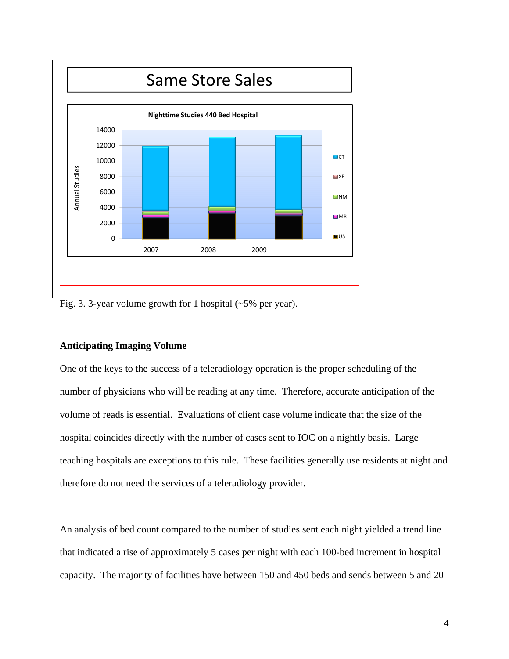

Fig. 3. 3-year volume growth for 1 hospital (~5% per year).

#### **Anticipating Imaging Volume**

One of the keys to the success of a teleradiology operation is the proper scheduling of the number of physicians who will be reading at any time. Therefore, accurate anticipation of the volume of reads is essential. Evaluations of client case volume indicate that the size of the hospital coincides directly with the number of cases sent to IOC on a nightly basis. Large teaching hospitals are exceptions to this rule. These facilities generally use residents at night and therefore do not need the services of a teleradiology provider.

An analysis of bed count compared to the number of studies sent each night yielded a trend line that indicated a rise of approximately 5 cases per night with each 100-bed increment in hospital capacity. The majority of facilities have between 150 and 450 beds and sends between 5 and 20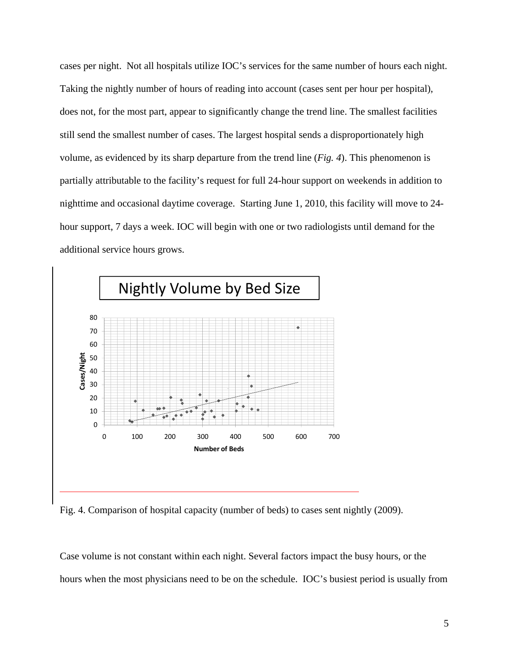cases per night. Not all hospitals utilize IOC's services for the same number of hours each night. Taking the nightly number of hours of reading into account (cases sent per hour per hospital), does not, for the most part, appear to significantly change the trend line. The smallest facilities still send the smallest number of cases. The largest hospital sends a disproportionately high volume, as evidenced by its sharp departure from the trend line (*Fig. 4*). This phenomenon is partially attributable to the facility's request for full 24-hour support on weekends in addition to nighttime and occasional daytime coverage. Starting June 1, 2010, this facility will move to 24 hour support, 7 days a week. IOC will begin with one or two radiologists until demand for the additional service hours grows.





Case volume is not constant within each night. Several factors impact the busy hours, or the hours when the most physicians need to be on the schedule. IOC's busiest period is usually from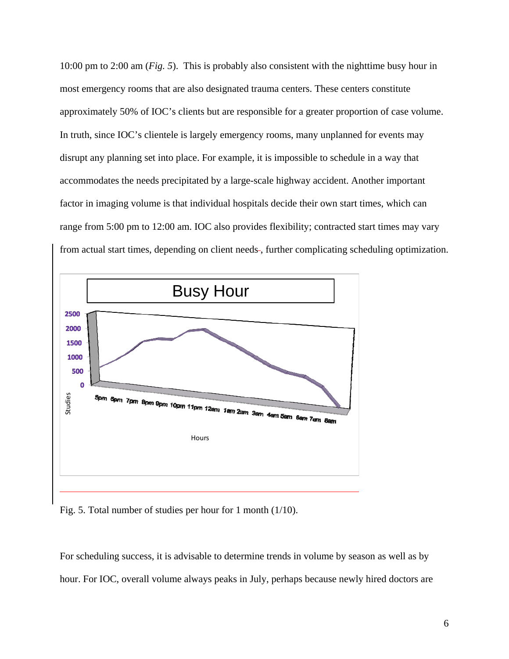10:00 pm to 2:00 am (*Fig. 5*). This is probably also consistent with the nighttime busy hour in most emergency rooms that are also designated trauma centers. These centers constitute approximately 50% of IOC's clients but are responsible for a greater proportion of case volume. In truth, since IOC's clientele is largely emergency rooms, many unplanned for events may disrupt any planning set into place. For example, it is impossible to schedule in a way that accommodates the needs precipitated by a large-scale highway accident. Another important factor in imaging volume is that individual hospitals decide their own start times, which can range from 5:00 pm to 12:00 am. IOC also provides flexibility; contracted start times may vary from actual start times, depending on client needs-, further complicating scheduling optimization.



Fig. 5. Total number of studies per hour for 1 month (1/10).

For scheduling success, it is advisable to determine trends in volume by season as well as by hour. For IOC, overall volume always peaks in July, perhaps because newly hired doctors are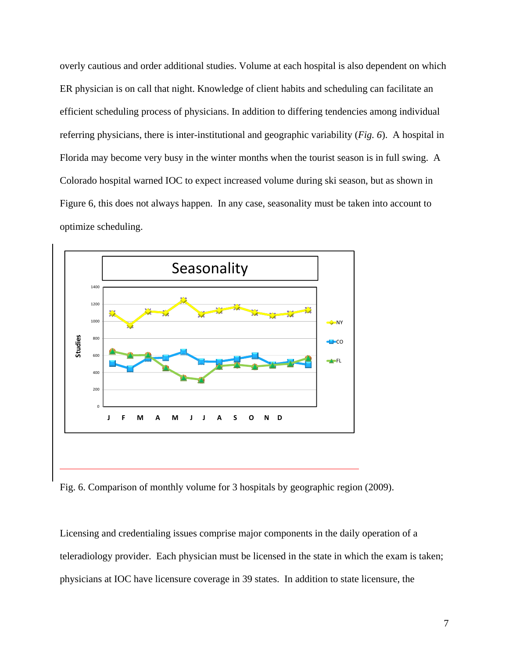overly cautious and order additional studies. Volume at each hospital is also dependent on which ER physician is on call that night. Knowledge of client habits and scheduling can facilitate an efficient scheduling process of physicians. In addition to differing tendencies among individual referring physicians, there is inter-institutional and geographic variability (*Fig. 6*). A hospital in Florida may become very busy in the winter months when the tourist season is in full swing. A Colorado hospital warned IOC to expect increased volume during ski season, but as shown in Figure 6, this does not always happen. In any case, seasonality must be taken into account to optimize scheduling.



Fig. 6. Comparison of monthly volume for 3 hospitals by geographic region (2009).

Licensing and credentialing issues comprise major components in the daily operation of a teleradiology provider. Each physician must be licensed in the state in which the exam is taken; physicians at IOC have licensure coverage in 39 states. In addition to state licensure, the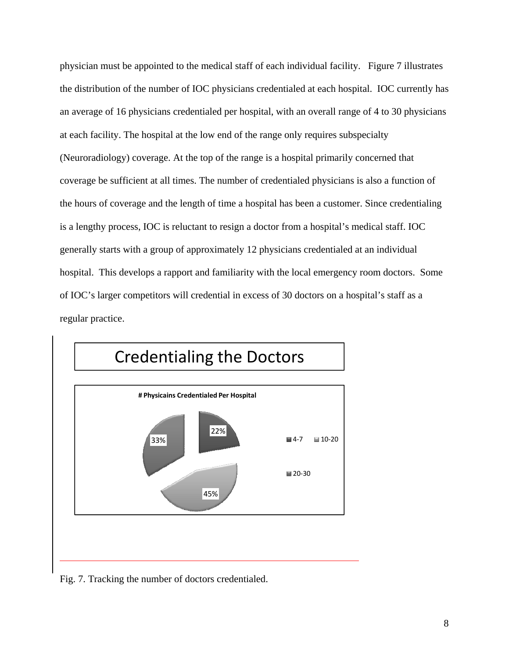physician must be appointed to the medical staff of each individual facility. Figure 7 illustrates the distribution of the number of IOC physicians credentialed at each hospital. IOC currently has an average of 16 physicians credentialed per hospital, with an overall range of 4 to 30 physicians at each facility. The hospital at the low end of the range only requires subspecialty (Neuroradiology) coverage. At the top of the range is a hospital primarily concerned that coverage be sufficient at all times. The number of credentialed physicians is also a function of the hours of coverage and the length of time a hospital has been a customer. Since credentialing is a lengthy process, IOC is reluctant to resign a doctor from a hospital's medical staff. IOC generally starts with a group of approximately 12 physicians credentialed at an individual hospital. This develops a rapport and familiarity with the local emergency room doctors. Some of IOC's larger competitors will credential in excess of 30 doctors on a hospital's staff as a regular practice.



Fig. 7. Tracking the number of doctors credentialed.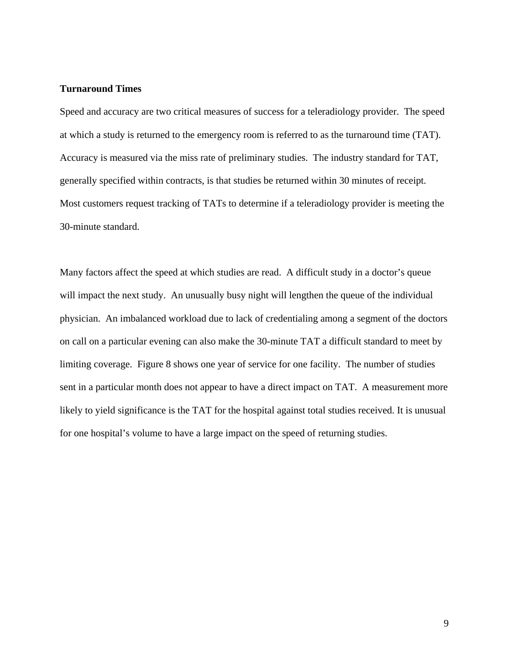## **Turnaround Times**

Speed and accuracy are two critical measures of success for a teleradiology provider. The speed at which a study is returned to the emergency room is referred to as the turnaround time (TAT). Accuracy is measured via the miss rate of preliminary studies. The industry standard for TAT, generally specified within contracts, is that studies be returned within 30 minutes of receipt. Most customers request tracking of TATs to determine if a teleradiology provider is meeting the 30-minute standard.

Many factors affect the speed at which studies are read. A difficult study in a doctor's queue will impact the next study. An unusually busy night will lengthen the queue of the individual physician. An imbalanced workload due to lack of credentialing among a segment of the doctors on call on a particular evening can also make the 30-minute TAT a difficult standard to meet by limiting coverage. Figure 8 shows one year of service for one facility. The number of studies sent in a particular month does not appear to have a direct impact on TAT. A measurement more likely to yield significance is the TAT for the hospital against total studies received. It is unusual for one hospital's volume to have a large impact on the speed of returning studies.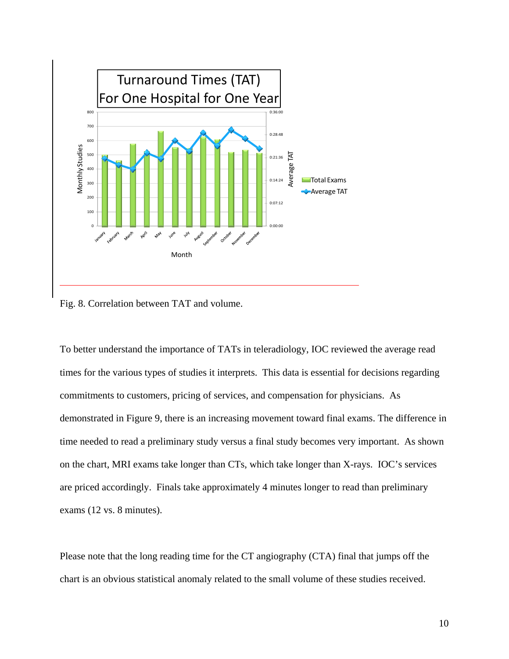

Fig. 8. Correlation between TAT and volume.

To better understand the importance of TATs in teleradiology, IOC reviewed the average read times for the various types of studies it interprets. This data is essential for decisions regarding commitments to customers, pricing of services, and compensation for physicians. As demonstrated in Figure 9, there is an increasing movement toward final exams. The difference in time needed to read a preliminary study versus a final study becomes very important. As shown on the chart, MRI exams take longer than CTs, which take longer than X-rays. IOC's services are priced accordingly. Finals take approximately 4 minutes longer to read than preliminary exams (12 vs. 8 minutes).

Please note that the long reading time for the CT angiography (CTA) final that jumps off the chart is an obvious statistical anomaly related to the small volume of these studies received.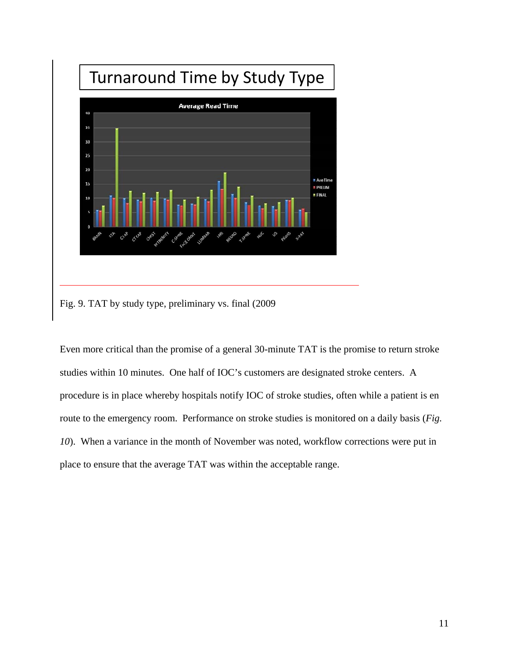

Fig. 9. TAT by study type, preliminary vs. final (2009

Even more critical than the promise of a general 30-minute TAT is the promise to return stroke studies within 10 minutes. One half of IOC's customers are designated stroke centers. A procedure is in place whereby hospitals notify IOC of stroke studies, often while a patient is en route to the emergency room. Performance on stroke studies is monitored on a daily basis (*Fig. 10*). When a variance in the month of November was noted, workflow corrections were put in place to ensure that the average TAT was within the acceptable range.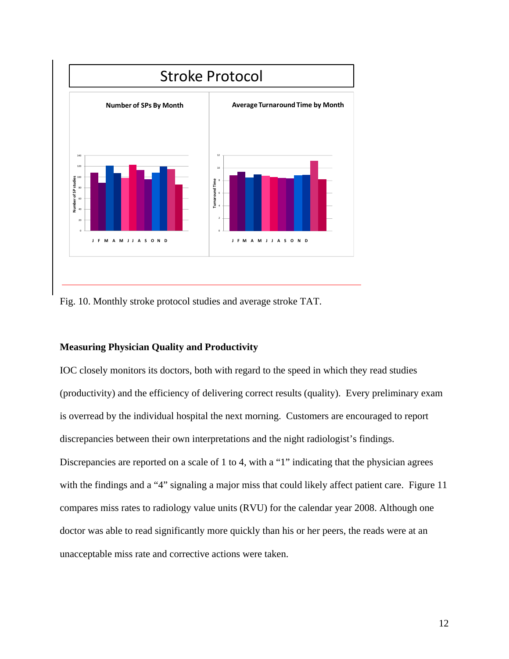

Fig. 10. Monthly stroke protocol studies and average stroke TAT.

### **Measuring Physician Quality and Productivity**

IOC closely monitors its doctors, both with regard to the speed in which they read studies (productivity) and the efficiency of delivering correct results (quality). Every preliminary exam is overread by the individual hospital the next morning. Customers are encouraged to report discrepancies between their own interpretations and the night radiologist's findings. Discrepancies are reported on a scale of 1 to 4, with a "1" indicating that the physician agrees with the findings and a "4" signaling a major miss that could likely affect patient care. Figure 11 compares miss rates to radiology value units (RVU) for the calendar year 2008. Although one doctor was able to read significantly more quickly than his or her peers, the reads were at an unacceptable miss rate and corrective actions were taken.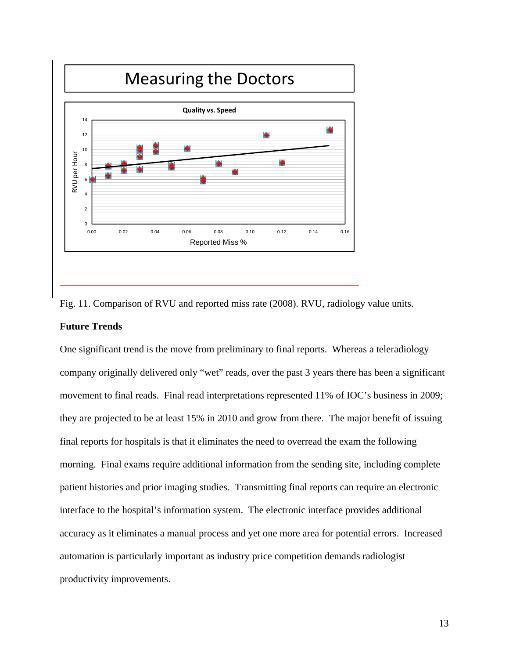

Fig. 11. Comparison of RVU and reported miss rate (2008). RVU, radiology value units.

#### **Future Trends**

One significant trend is the move from preliminary to final reports. Whereas a teleradiology company originally delivered only "wet" reads, over the past 3 years there has been a significant movement to final reads. Final read interpretations represented 11% of IOC's business in 2009; they are projected to be at least 15% in 2010 and grow from there. The major benefit of issuing final reports for hospitals is that it eliminates the need to overread the exam the following morning. Final exams require additional information from the sending site, including complete patient histories and prior imaging studies. Transmitting final reports can require an electronic interface to the hospital's information system. The electronic interface provides additional accuracy as it eliminates a manual process and yet one more area for potential errors. Increased automation is particularly important as industry price competition demands radiologist productivity improvements.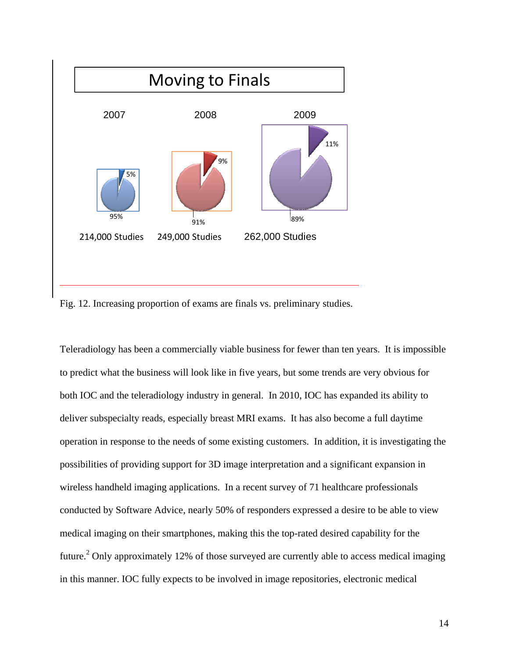

Fig. 12. Increasing proportion of exams are finals vs. preliminary studies.

Teleradiology has been a commercially viable business for fewer than ten years. It is impossible to predict what the business will look like in five years, but some trends are very obvious for both IOC and the teleradiology industry in general. In 2010, IOC has expanded its ability to deliver subspecialty reads, especially breast MRI exams. It has also become a full daytime operation in response to the needs of some existing customers. In addition, it is investigating the possibilities of providing support for 3D image interpretation and a significant expansion in wireless handheld imaging applications. In a recent survey of 71 healthcare professionals conducted by Software Advice, nearly 50% of responders expressed a desire to be able to view medical imaging on their smartphones, making this the top-rated desired capability for the future.<sup>2</sup> Only approximately 12% of those surveyed are currently able to access medical imaging in this manner. IOC fully expects to be involved in image repositories, electronic medical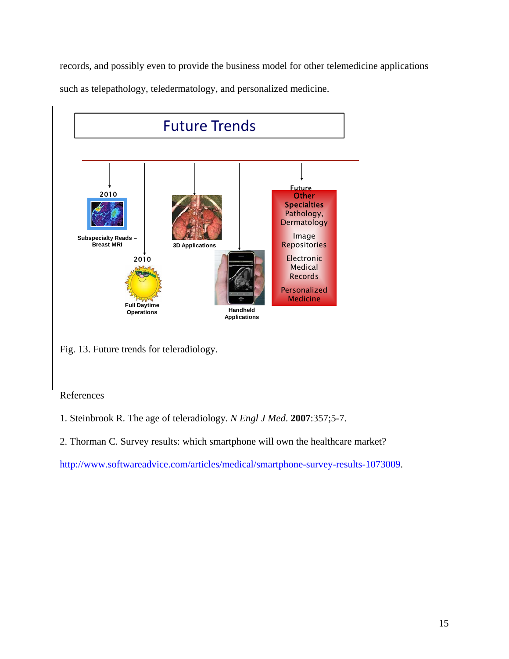records, and possibly even to provide the business model for other telemedicine applications such as telepathology, teledermatology, and personalized medicine.



Fig. 13. Future trends for teleradiology.

# References

- 1. Steinbrook R. The age of teleradiology*. N Engl J Med*. **2007**:357;5-7.
- 2. Thorman C. Survey results: which smartphone will own the healthcare market?

[http://www.softwareadvice.com/articles/medical/smartphone-survey-results-1073009.](http://www.softwareadvice.com/articles/medical/smartphone-survey-results-1073009)